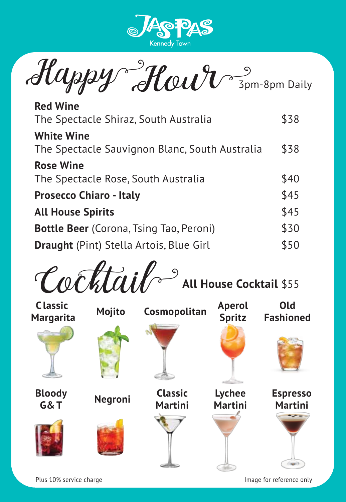

 $\mathcal{H}$ appy  $\mathcal{H}_{\mathcal{C}}$ 

| <b>Red Wine</b><br>The Spectacle Shiraz, South Australia            | \$38 |
|---------------------------------------------------------------------|------|
| <b>White Wine</b><br>The Spectacle Sauvignon Blanc, South Australia | \$38 |
| <b>Rose Wine</b><br>The Spectacle Rose, South Australia             | \$40 |
| <b>Prosecco Chiaro - Italy</b>                                      | \$45 |
| <b>All House Spirits</b>                                            | \$45 |
| <b>Bottle Beer</b> (Corona, Tsing Tao, Peroni)                      | \$30 |
| <b>Draught</b> (Pint) Stella Artois, Blue Girl                      | \$50 |
|                                                                     |      |





Plus 10% service charge

Image for reference only